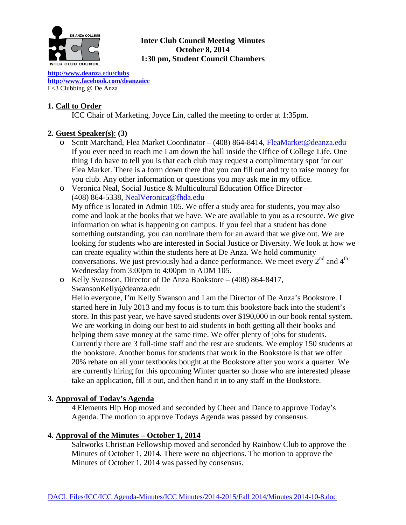

# **Inter Club Council Meeting Minutes October 8, 2014 1:30 pm, Student Council Chambers**

**[http://www.deanz](http://www.deanza.edu/clubs)**a.ed**u/clubs [http://www.facebook.com/deanzaicc](http://www.facebook.com/home.php%23!/group.php?gid=59034552686)** I <3 Clubbing @ De Anza

# **1. Call to Order**

ICC Chair of Marketing, Joyce Lin, called the meeting to order at 1:35pm.

# **2. Guest Speaker(s)**: **(3)**

o Scott Marchand, Flea Market Coordinator – (408) 864-8414, [FleaMarket@deanza.edu](mailto:FleaMarket@deanza.edu) If you ever need to reach me I am down the hall inside the Office of College Life. One thing I do have to tell you is that each club may request a complimentary spot for our Flea Market. There is a form down there that you can fill out and try to raise money for you club. Any other information or questions you may ask me in my office.

o Veronica Neal, Social Justice & Multicultural Education Office Director – (408) 864-5338, [NealVeronica@fhda.edu](mailto:NealVeronica@fhda.edu) My office is located in Admin 105. We offer a study area for students, you may also come and look at the books that we have. We are available to you as a resource. We give information on what is happening on campus. If you feel that a student has done something outstanding, you can nominate them for an award that we give out. We are looking for students who are interested in Social Justice or Diversity. We look at how we can create equality within the students here at De Anza. We hold community conversations. We just previously had a dance performance. We meet every  $2<sup>nd</sup>$  and  $4<sup>th</sup>$ Wednesday from 3:00pm to 4:00pm in ADM 105.

o Kelly Swanson, Director of De Anza Bookstore – (408) 864-8417, SwansonKelly@deanza.edu

Hello everyone, I'm Kelly Swanson and I am the Director of De Anza's Bookstore. I started here in July 2013 and my focus is to turn this bookstore back into the student's store. In this past year, we have saved students over \$190,000 in our book rental system. We are working in doing our best to aid students in both getting all their books and helping them save money at the same time. We offer plenty of jobs for students. Currently there are 3 full-time staff and the rest are students. We employ 150 students at the bookstore. Another bonus for students that work in the Bookstore is that we offer 20% rebate on all your textbooks bought at the Bookstore after you work a quarter. We are currently hiring for this upcoming Winter quarter so those who are interested please take an application, fill it out, and then hand it in to any staff in the Bookstore.

# **3. Approval of Today's Agenda**

4 Elements Hip Hop moved and seconded by Cheer and Dance to approve Today's Agenda. The motion to approve Todays Agenda was passed by consensus.

# **4. Approval of the Minutes – October 1, 2014**

Saltworks Christian Fellowship moved and seconded by Rainbow Club to approve the Minutes of October 1, 2014. There were no objections. The motion to approve the Minutes of October 1, 2014 was passed by consensus.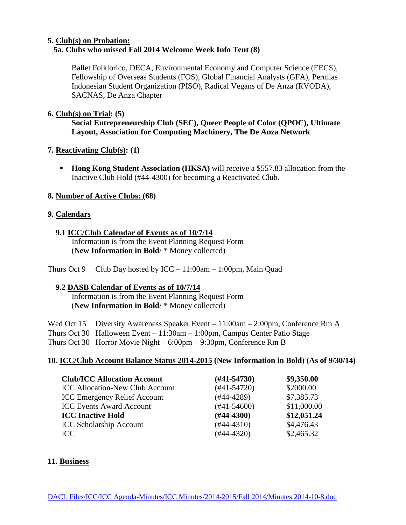## **5. Club(s) on Probation: 5a. Clubs who missed Fall 2014 Welcome Week Info Tent (8)**

Ballet Folklorico, DECA, Environmental Economy and Computer Science (EECS), Fellowship of Overseas Students (FOS), Global Financial Analysts (GFA), Permias Indonesian Student Organization (PISO), Radical Vegans of De Anza (RVODA), SACNAS, De Anza Chapter

## **6. Club(s) on Trial: (5)**

**Social Entrepreneurship Club (SEC), Queer People of Color (QPOC), Ultimate Layout, Association for Computing Machinery, The De Anza Network**

# **7. Reactivating Club(s): (1)**

**Hong Kong Student Association (HKSA)** will receive a \$557.83 allocation from the Inactive Club Hold (#44-4300) for becoming a Reactivated Club.

## **8. Number of Active Clubs: (68)**

## **9. Calendars**

### **9.1 ICC/Club Calendar of Events as of 10/7/14**

 Information is from the Event Planning Request Form (**New Information in Bold**/ \* Money collected)

Thurs Oct 9 Club Day hosted by  $ICC - 11:00am - 1:00pm$ , Main Quad

# **9.2 DASB Calendar of Events as of 10/7/14**

 Information is from the Event Planning Request Form (**New Information in Bold**/ \* Money collected)

Wed Oct 15 Diversity Awareness Speaker Event – 11:00am – 2:00pm, Conference Rm A Thurs Oct 30 Halloween Event – 11:30am – 1:00pm, Campus Center Patio Stage Thurs Oct 30 Horror Movie Night – 6:00pm – 9:30pm, Conference Rm B

# **10. ICC/Club Account Balance Status 2014-2015 (New Information in Bold) (As of 9/30/14)**

| <b>Club/ICC Allocation Account</b>     | $(H41-54730)$    | \$9,350.00  |
|----------------------------------------|------------------|-------------|
| <b>ICC Allocation-New Club Account</b> | $(#41-54720)$    | \$2000.00   |
| <b>ICC Emergency Relief Account</b>    | $(#44-4289)$     | \$7,385.73  |
| <b>ICC Events Award Account</b>        | $(\#41 - 54600)$ | \$11,000.00 |
| <b>ICC Inactive Hold</b>               | $(H44-4300)$     | \$12,051.24 |
| <b>ICC Scholarship Account</b>         | $(#44-4310)$     | \$4,476.43  |
| ICC.                                   | (#44-4320)       | \$2,465.32  |

### **11. Business**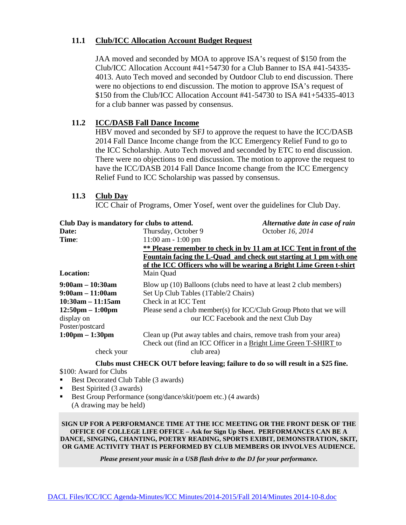## **11.1 Club/ICC Allocation Account Budget Request**

JAA moved and seconded by MOA to approve ISA's request of \$150 from the Club/ICC Allocation Account #41+54730 for a Club Banner to ISA #41-54335- 4013. Auto Tech moved and seconded by Outdoor Club to end discussion. There were no objections to end discussion. The motion to approve ISA's request of \$150 from the Club/ICC Allocation Account #41-54730 to ISA #41+54335-4013 for a club banner was passed by consensus.

## **11.2 ICC/DASB Fall Dance Income**

HBV moved and seconded by SFJ to approve the request to have the ICC/DASB 2014 Fall Dance Income change from the ICC Emergency Relief Fund to go to the ICC Scholarship. Auto Tech moved and seconded by ETC to end discussion. There were no objections to end discussion. The motion to approve the request to have the ICC/DASB 2014 Fall Dance Income change from the ICC Emergency Relief Fund to ICC Scholarship was passed by consensus.

### **11.3 Club Day**

ICC Chair of Programs, Omer Yosef, went over the guidelines for Club Day.

| Club Day is mandatory for clubs to attend. |                                                                                                                                        | Alternative date in case of rain |  |  |
|--------------------------------------------|----------------------------------------------------------------------------------------------------------------------------------------|----------------------------------|--|--|
| Date:                                      | Thursday, October 9                                                                                                                    | October 16, 2014                 |  |  |
| Time:                                      | $11:00$ am $-1:00$ pm                                                                                                                  |                                  |  |  |
|                                            | ** Please remember to check in by 11 am at ICC Tent in front of the                                                                    |                                  |  |  |
|                                            | Fountain facing the L-Quad and check out starting at 1 pm with one                                                                     |                                  |  |  |
|                                            | of the ICC Officers who will be wearing a Bright Lime Green t-shirt                                                                    |                                  |  |  |
| <b>Location:</b>                           | Main Quad                                                                                                                              |                                  |  |  |
| $9:00am - 10:30am$                         | Blow up (10) Balloons (clubs need to have at least 2 club members)                                                                     |                                  |  |  |
| $9:00am - 11:00am$                         | Set Up Club Tables (1Table/2 Chairs)                                                                                                   |                                  |  |  |
| $10:30am - 11:15am$                        | Check in at ICC Tent                                                                                                                   |                                  |  |  |
| $12:50 \text{pm} - 1:00 \text{pm}$         | Please send a club member(s) for ICC/Club Group Photo that we will                                                                     |                                  |  |  |
| display on                                 | our ICC Facebook and the next Club Day                                                                                                 |                                  |  |  |
| Poster/postcard                            |                                                                                                                                        |                                  |  |  |
| $1:00 \text{pm} - 1:30 \text{pm}$          | Clean up (Put away tables and chairs, remove trash from your area)<br>Check out (find an ICC Officer in a Bright Lime Green T-SHIRT to |                                  |  |  |
| check your                                 | club area)                                                                                                                             |                                  |  |  |

**Clubs must CHECK OUT before leaving; failure to do so will result in a \$25 fine.**

\$100: Award for Clubs

- Best Decorated Club Table (3 awards)
- Best Spirited (3 awards)
- Best Group Performance (song/dance/skit/poem etc.) (4 awards) (A drawing may be held)

**SIGN UP FOR A PERFORMANCE TIME AT THE ICC MEETING OR THE FRONT DESK OF THE OFFICE OF COLLEGE LIFE OFFICE – Ask for Sign Up Sheet. PERFORMANCES CAN BE A DANCE, SINGING, CHANTING, POETRY READING, SPORTS EXIBIT, DEMONSTRATION, SKIT, OR GAME ACTIVITY THAT IS PERFORMED BY CLUB MEMBERS OR INVOLVES AUDIENCE.**

*Please present your music in a USB flash drive to the DJ for your performance.*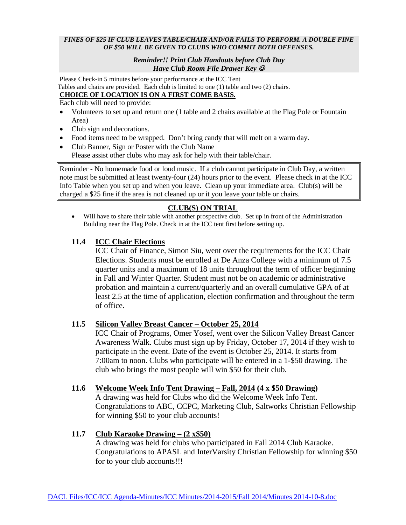#### *FINES OF \$25 IF CLUB LEAVES TABLE/CHAIR AND/OR FAILS TO PERFORM. A DOUBLE FINE OF \$50 WILL BE GIVEN TO CLUBS WHO COMMIT BOTH OFFENSES.*

#### *Reminder!! Print Club Handouts before Club Day Have Club Room File Drawer Key*

Please Check-in 5 minutes before your performance at the ICC Tent Tables and chairs are provided. Each club is limited to one (1) table and two (2) chairs. **CHOICE OF LOCATION IS ON A FIRST COME BASIS.**

Each club will need to provide:

- Volunteers to set up and return one (1 table and 2 chairs available at the Flag Pole or Fountain Area)
- Club sign and decorations.
- Food items need to be wrapped. Don't bring candy that will melt on a warm day.
- Club Banner, Sign or Poster with the Club Name Please assist other clubs who may ask for help with their table/chair.

Reminder - No homemade food or loud music. If a club cannot participate in Club Day, a written note must be submitted at least twenty-four (24) hours prior to the event. Please check in at the ICC Info Table when you set up and when you leave. Clean up your immediate area. Club(s) will be charged a \$25 fine if the area is not cleaned up or it you leave your table or chairs.

# **CLUB(S) ON TRIAL**

• Will have to share their table with another prospective club. Set up in front of the Administration Building near the Flag Pole. Check in at the ICC tent first before setting up.

## **11.4 ICC Chair Elections**

ICC Chair of Finance, Simon Siu, went over the requirements for the ICC Chair Elections. Students must be enrolled at De Anza College with a minimum of 7.5 quarter units and a maximum of 18 units throughout the term of officer beginning in Fall and Winter Quarter. Student must not be on academic or administrative probation and maintain a current/quarterly and an overall cumulative GPA of at least 2.5 at the time of application, election confirmation and throughout the term of office.

### **11.5 Silicon Valley Breast Cancer – October 25, 2014**

ICC Chair of Programs, Omer Yosef, went over the Silicon Valley Breast Cancer Awareness Walk. Clubs must sign up by Friday, October 17, 2014 if they wish to participate in the event. Date of the event is October 25, 2014. It starts from 7:00am to noon. Clubs who participate will be entered in a 1-\$50 drawing. The club who brings the most people will win \$50 for their club.

### **11.6 Welcome Week Info Tent Drawing – Fall, 2014 (4 x \$50 Drawing)**

A drawing was held for Clubs who did the Welcome Week Info Tent. Congratulations to ABC, CCPC, Marketing Club, Saltworks Christian Fellowship for winning \$50 to your club accounts!

### **11.7 Club Karaoke Drawing – (2 x\$50)**

A drawing was held for clubs who participated in Fall 2014 Club Karaoke. Congratulations to APASL and InterVarsity Christian Fellowship for winning \$50 for to your club accounts!!!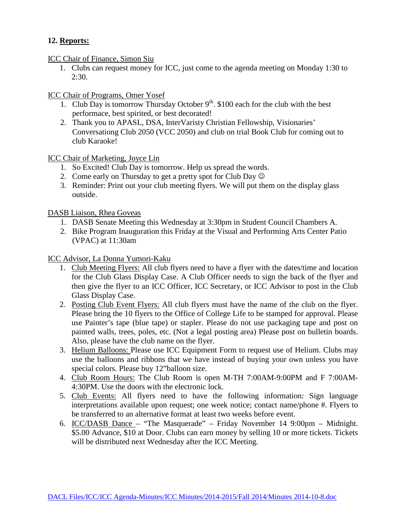# **12. Reports:**

ICC Chair of Finance, Simon Siu

1. Clubs can request money for ICC, just come to the agenda meeting on Monday 1:30 to 2:30.

ICC Chair of Programs, Omer Yosef

- 1. Club Day is tomorrow Thursday October  $9<sup>th</sup>$ . \$100 each for the club with the best performace, best spirited, or best decorated!
- 2. Thank you to APASL, DSA, InterVaristy Christian Fellowship, Visionaries' Conversationg Club 2050 (VCC 2050) and club on trial Book Club for coming out to club Karaoke!

ICC Chair of Marketing, Joyce Lin

- 1. So Excited! Club Day is tomorrow. Help us spread the words.
- 2. Come early on Thursday to get a pretty spot for Club Day  $\odot$
- 3. Reminder: Print out your club meeting flyers. We will put them on the display glass outside.

DASB Liaison, Rhea Goveas

- 1. DASB Senate Meeting this Wednesday at 3:30pm in Student Council Chambers A.
- 2. Bike Program Inauguration this Friday at the Visual and Performing Arts Center Patio (VPAC) at 11:30am

ICC Advisor, La Donna Yumori-Kaku

- 1. Club Meeting Flyers: All club flyers need to have a flyer with the dates/time and location for the Club Glass Display Case. A Club Officer needs to sign the back of the flyer and then give the flyer to an ICC Officer, ICC Secretary, or ICC Advisor to post in the Club Glass Display Case.
- 2. Posting Club Event Flyers: All club flyers must have the name of the club on the flyer. Please bring the 10 flyers to the Office of College Life to be stamped for approval. Please use Painter's tape (blue tape) or stapler. Please do not use packaging tape and post on painted walls, trees, poles, etc. (Not a legal posting area) Please post on bulletin boards. Also, please have the club name on the flyer.
- 3. Helium Balloons: Please use ICC Equipment Form to request use of Helium. Clubs may use the balloons and ribbons that we have instead of buying your own unless you have special colors. Please buy 12"balloon size.
- 4. Club Room Hours: The Club Room is open M-TH 7:00AM-9:00PM and F 7:00AM-4:30PM. Use the doors with the electronic lock.
- 5. Club Events: All flyers need to have the following information: Sign language interpretations available upon request; one week notice; contact name/phone #. Flyers to be transferred to an alternative format at least two weeks before event.
- 6. ICC/DASB Dance "The Masquerade" Friday November 14 9:00pm Midnight. \$5.00 Advance, \$10 at Door. Clubs can earn money by selling 10 or more tickets. Tickets will be distributed next Wednesday after the ICC Meeting.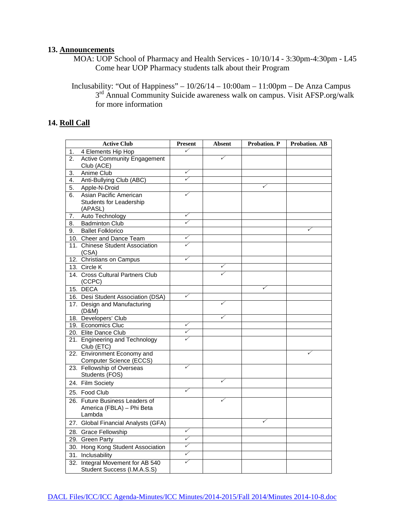#### **13. Announcements**

MOA: UOP School of Pharmacy and Health Services - 10/10/14 - 3:30pm-4:30pm - L45 Come hear UOP Pharmacy students talk about their Program

Inclusability: "Out of Happiness" –  $10/26/14 - 10:00$ am –  $11:00$ pm – De Anza Campus 3rd Annual Community Suicide awareness walk on campus. Visit AFSP.org/walk for more information

### **14. Roll Call**

|    | <b>Active Club</b>                                              | <b>Present</b>               | <b>Absent</b> | <b>Probation. P</b> | <b>Probation. AB</b> |
|----|-----------------------------------------------------------------|------------------------------|---------------|---------------------|----------------------|
| 1. | 4 Elements Hip Hop                                              | ✓                            |               |                     |                      |
| 2. | <b>Active Community Engagement</b>                              |                              | ✓             |                     |                      |
|    | Club (ACE)                                                      |                              |               |                     |                      |
| 3. | Anime Club                                                      | ✓                            |               |                     |                      |
| 4. | Anti-Bullying Club (ABC)                                        | ✓                            |               |                     |                      |
| 5. | Apple-N-Droid                                                   |                              |               | $\checkmark$        |                      |
| 6. | Asian Pacific American                                          | ✓                            |               |                     |                      |
|    | <b>Students for Leadership</b>                                  |                              |               |                     |                      |
|    | (APASL)                                                         |                              |               |                     |                      |
| 7. | Auto Technology                                                 | ✓<br>$\checkmark$            |               |                     |                      |
| 8. | <b>Badminton Club</b>                                           |                              |               |                     | v                    |
| 9. | <b>Ballet Folklorico</b>                                        |                              |               |                     |                      |
|    | 10. Cheer and Dance Team                                        | ✓<br>$\overline{\checkmark}$ |               |                     |                      |
|    | 11. Chinese Student Association<br>(CSA)                        |                              |               |                     |                      |
|    | 12. Christians on Campus                                        | ✓                            |               |                     |                      |
|    | 13. Circle K                                                    |                              | $\checkmark$  |                     |                      |
|    | 14. Cross Cultural Partners Club                                |                              | ✓             |                     |                      |
|    | (CCPC)                                                          |                              |               |                     |                      |
|    | 15. DECA                                                        |                              |               | $\checkmark$        |                      |
|    | 16. Desi Student Association (DSA)                              | $\checkmark$                 |               |                     |                      |
|    | 17. Design and Manufacturing<br>(D&M)                           |                              | $\checkmark$  |                     |                      |
|    | 18. Developers' Club                                            |                              | ✓             |                     |                      |
|    | 19. Economics Cluc                                              | ✓                            |               |                     |                      |
|    | 20. Elite Dance Club                                            | ✓                            |               |                     |                      |
|    | 21. Engineering and Technology<br>Club (ETC)                    | ✓                            |               |                     |                      |
|    | 22. Environment Economy and                                     |                              |               |                     | ✓                    |
|    | Computer Science (ECCS)                                         |                              |               |                     |                      |
|    | 23. Fellowship of Overseas                                      | ✓                            |               |                     |                      |
|    | Students (FOS)                                                  |                              |               |                     |                      |
|    | 24. Film Society                                                |                              | $\checkmark$  |                     |                      |
|    | 25. Food Club                                                   | ✓                            |               |                     |                      |
|    | 26. Future Business Leaders of                                  |                              | ✓             |                     |                      |
|    | America (FBLA) - Phi Beta                                       |                              |               |                     |                      |
|    | Lambda                                                          |                              |               |                     |                      |
|    | 27. Global Financial Analysts (GFA)                             |                              |               |                     |                      |
|    | 28. Grace Fellowship                                            | ✓                            |               |                     |                      |
|    | 29. Green Party                                                 | $\checkmark$                 |               |                     |                      |
|    | 30. Hong Kong Student Association                               | ✓                            |               |                     |                      |
|    | 31. Inclusability                                               | $\checkmark$                 |               |                     |                      |
|    | 32. Integral Movement for AB 540<br>Student Success (I.M.A.S.S) | ✓                            |               |                     |                      |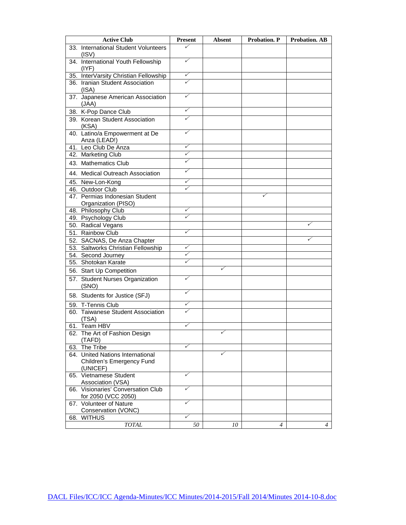|     | <b>Active Club</b>                                                        | <b>Present</b> | <b>Absent</b> | <b>Probation. P</b> | <b>Probation. AB</b> |
|-----|---------------------------------------------------------------------------|----------------|---------------|---------------------|----------------------|
|     | 33. International Student Volunteers<br>(ISV)                             | ✓              |               |                     |                      |
|     | 34. International Youth Fellowship<br>$($ IYF)                            | ✓              |               |                     |                      |
|     | 35. InterVarsity Christian Fellowship                                     | ✓              |               |                     |                      |
|     | 36. Iranian Student Association<br>(ISA)                                  |                |               |                     |                      |
|     | 37. Japanese American Association<br>(JAA)                                | ✓              |               |                     |                      |
|     | 38. K-Pop Dance Club                                                      | ✓              |               |                     |                      |
|     | 39. Korean Student Association<br>(KSA)                                   | ✓              |               |                     |                      |
|     | 40. Latino/a Empowerment at De<br>Anza (LEAD!)                            | ✓              |               |                     |                      |
|     | 41. Leo Club De Anza                                                      | ✓              |               |                     |                      |
|     | 42. Marketing Club                                                        | ✓              |               |                     |                      |
|     | 43. Mathematics Club                                                      | ✓              |               |                     |                      |
|     | 44. Medical Outreach Association                                          | ✓              |               |                     |                      |
|     | 45. New-Lon-Kong                                                          | ✓              |               |                     |                      |
|     | 46. Outdoor Club                                                          | ✓              |               |                     |                      |
|     | 47. Permias Indonesian Student                                            |                |               | ✓                   |                      |
|     | Organization (PISO)                                                       | ✓              |               |                     |                      |
|     | 48. Philosophy Club                                                       | ✓              |               |                     |                      |
|     | 49. Psychology Club                                                       |                |               |                     | v                    |
|     | 50. Radical Vegans                                                        |                |               |                     |                      |
|     | 51. Rainbow Club                                                          | ✓              |               |                     |                      |
|     | 52. SACNAS, De Anza Chapter                                               |                |               |                     |                      |
|     | 53. Saltworks Christian Fellowship                                        | ✓              |               |                     |                      |
|     | 54. Second Journey                                                        | ✓<br>✓         |               |                     |                      |
|     | 55. Shotokan Karate                                                       |                |               |                     |                      |
|     | 56. Start Up Competition                                                  |                | ✓             |                     |                      |
|     | 57. Student Nurses Organization<br>(SNO)                                  | ✓              |               |                     |                      |
|     | 58. Students for Justice (SFJ)                                            | ✓              |               |                     |                      |
|     | 59. T-Tennis Club                                                         | ✓              |               |                     |                      |
|     | 60. Taiwanese Student Association<br>(TSA)                                |                |               |                     |                      |
|     | 61. Team HBV                                                              | ✓              |               |                     |                      |
|     | 62. The Art of Fashion Design<br>(TAFD)                                   |                |               |                     |                      |
|     | 63. The Tribe                                                             | ✓              |               |                     |                      |
|     | 64. United Nations International<br>Children's Emergency Fund<br>(UNICEF) |                | ✓             |                     |                      |
|     | 65. Vietnamese Student<br>Association (VSA)                               | ✓              |               |                     |                      |
|     | 66. Visionaries' Conversation Club<br>for 2050 (VCC 2050)                 | ✓              |               |                     |                      |
|     | 67. Volunteer of Nature                                                   | ✓              |               |                     |                      |
|     | Conservation (VONC)<br><b>WITHUS</b>                                      | ✓              |               |                     |                      |
| 68. | <b>TOTAL</b>                                                              | 50             | 10            | 4                   | $\overline{4}$       |
|     |                                                                           |                |               |                     |                      |